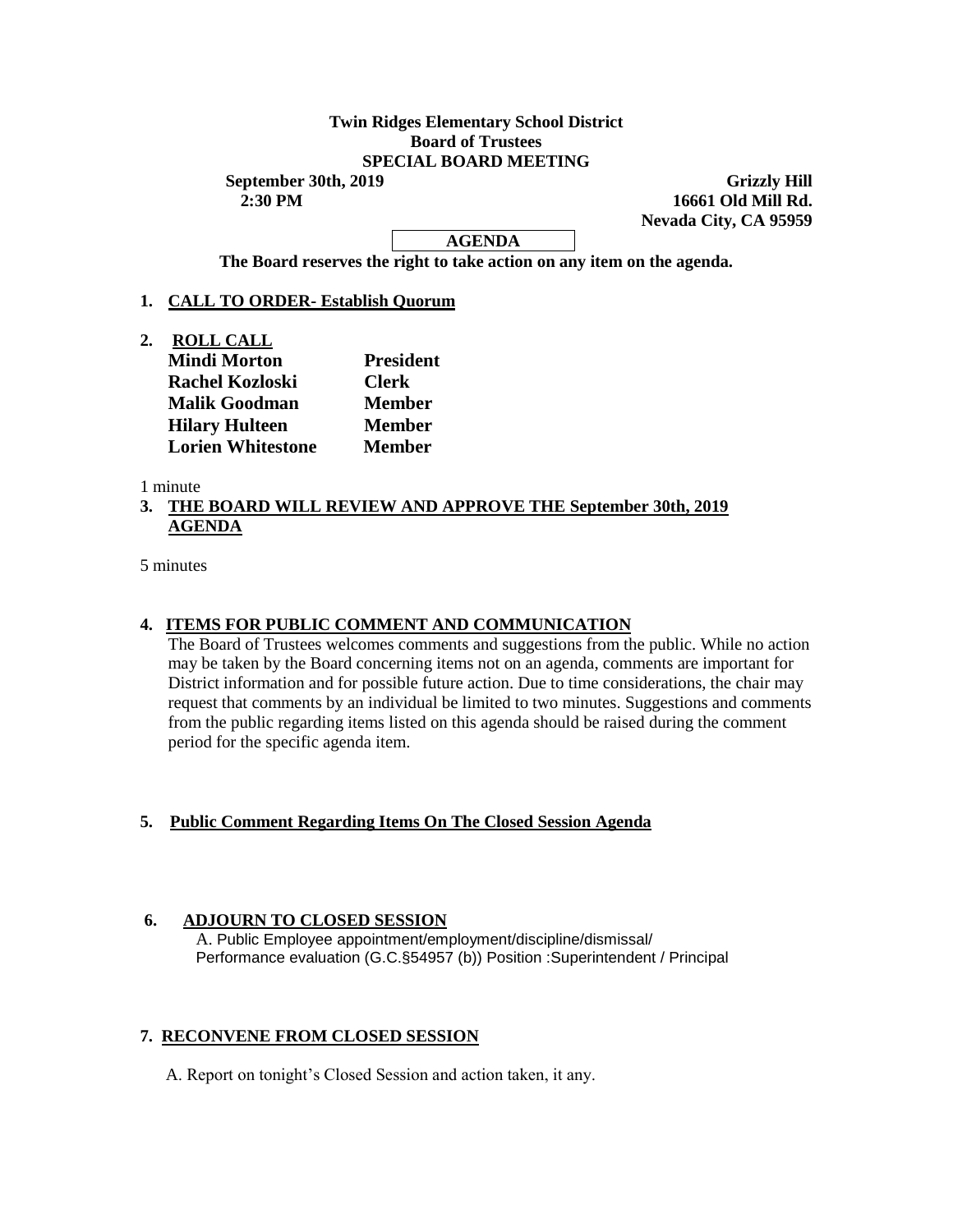## **Twin Ridges Elementary School District Board of Trustees SPECIAL BOARD MEETING**

**September 30th, 2019 Grizzly Hill 2:30 PM 16661 Old Mill Rd. Nevada City, CA 95959**

# **AGENDA**

**The Board reserves the right to take action on any item on the agenda.**

### **1. CALL TO ORDER- Establish Quorum**

**2. ROLL CALL Mindi Morton President Rachel Kozloski Clerk Malik Goodman Member Hilary Hulteen Member Lorien Whitestone Member** 

1 minute

## **3. THE BOARD WILL REVIEW AND APPROVE THE September 30th, 2019 AGENDA**

5 minutes

# **4. ITEMS FOR PUBLIC COMMENT AND COMMUNICATION**

The Board of Trustees welcomes comments and suggestions from the public. While no action may be taken by the Board concerning items not on an agenda, comments are important for District information and for possible future action. Due to time considerations, the chair may request that comments by an individual be limited to two minutes. Suggestions and comments from the public regarding items listed on this agenda should be raised during the comment period for the specific agenda item.

### **5. Public Comment Regarding Items On The Closed Session Agenda**

### **6. ADJOURN TO CLOSED SESSION**

A. Public Employee appointment/employment/discipline/dismissal/ Performance evaluation (G.C.§54957 (b)) Position :Superintendent / Principal

### **7. RECONVENE FROM CLOSED SESSION**

A. Report on tonight's Closed Session and action taken, it any.